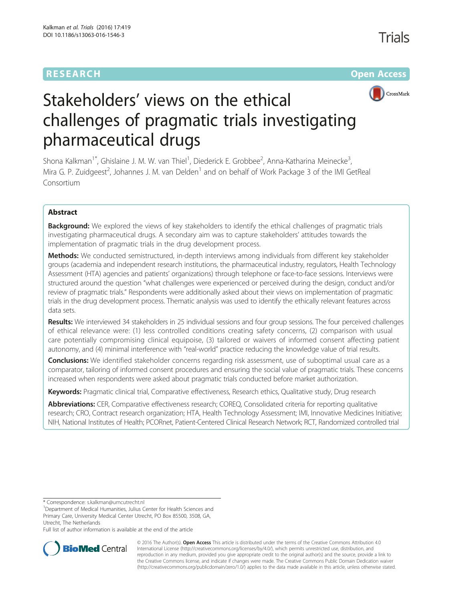# **RESEARCH CHEAR CHEAR CHEAR CHEAR CHEAR CHEAR CHEAR CHEAR CHEAR CHEAR CHEAR CHEAR CHEAR CHEAR CHEAR CHEAR CHEAR**



# Stakeholders' views on the ethical challenges of pragmatic trials investigating pharmaceutical drugs

Shona Kalkman<sup>1\*</sup>, Ghislaine J. M. W. van Thiel<sup>1</sup>, Diederick E. Grobbee<sup>2</sup>, Anna-Katharina Meinecke<sup>3</sup> , Mira G. P. Zuidgeest<sup>2</sup>, Johannes J. M. van Delden<sup>1</sup> and on behalf of Work Package 3 of the IMI GetReal Consortium

# Abstract

**Background:** We explored the views of key stakeholders to identify the ethical challenges of pragmatic trials investigating pharmaceutical drugs. A secondary aim was to capture stakeholders' attitudes towards the implementation of pragmatic trials in the drug development process.

Methods: We conducted semistructured, in-depth interviews among individuals from different key stakeholder groups (academia and independent research institutions, the pharmaceutical industry, regulators, Health Technology Assessment (HTA) agencies and patients' organizations) through telephone or face-to-face sessions. Interviews were structured around the question "what challenges were experienced or perceived during the design, conduct and/or review of pragmatic trials." Respondents were additionally asked about their views on implementation of pragmatic trials in the drug development process. Thematic analysis was used to identify the ethically relevant features across data sets.

Results: We interviewed 34 stakeholders in 25 individual sessions and four group sessions. The four perceived challenges of ethical relevance were: (1) less controlled conditions creating safety concerns, (2) comparison with usual care potentially compromising clinical equipoise, (3) tailored or waivers of informed consent affecting patient autonomy, and (4) minimal interference with "real-world" practice reducing the knowledge value of trial results.

Conclusions: We identified stakeholder concerns regarding risk assessment, use of suboptimal usual care as a comparator, tailoring of informed consent procedures and ensuring the social value of pragmatic trials. These concerns increased when respondents were asked about pragmatic trials conducted before market authorization.

Keywords: Pragmatic clinical trial, Comparative effectiveness, Research ethics, Qualitative study, Drug research

Abbreviations: CER, Comparative effectiveness research; COREQ, Consolidated criteria for reporting qualitative research; CRO, Contract research organization; HTA, Health Technology Assessment; IMI, Innovative Medicines Initiative; NIH, National Institutes of Health; PCORnet, Patient-Centered Clinical Research Network; RCT, Randomized controlled trial

\* Correspondence: [s.kalkman@umcutrecht.nl](mailto:s.kalkman@umcutrecht.nl) <sup>1</sup>

Full list of author information is available at the end of the article



© 2016 The Author(s). Open Access This article is distributed under the terms of the Creative Commons Attribution 4.0 International License [\(http://creativecommons.org/licenses/by/4.0/](http://creativecommons.org/licenses/by/4.0/)), which permits unrestricted use, distribution, and reproduction in any medium, provided you give appropriate credit to the original author(s) and the source, provide a link to the Creative Commons license, and indicate if changes were made. The Creative Commons Public Domain Dedication waiver [\(http://creativecommons.org/publicdomain/zero/1.0/](http://creativecommons.org/publicdomain/zero/1.0/)) applies to the data made available in this article, unless otherwise stated.

<sup>&</sup>lt;sup>1</sup>Department of Medical Humanities, Julius Center for Health Sciences and Primary Care, University Medical Center Utrecht, PO Box 85500, 3508, GA, Utrecht, The Netherlands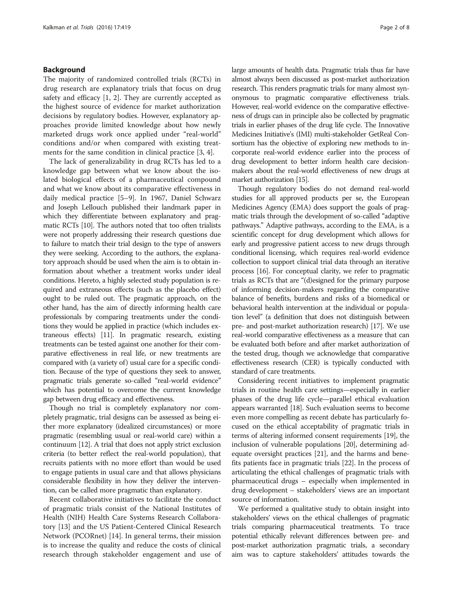# Background

The majority of randomized controlled trials (RCTs) in drug research are explanatory trials that focus on drug safety and efficacy [[1](#page-7-0), [2\]](#page-7-0). They are currently accepted as the highest source of evidence for market authorization decisions by regulatory bodies. However, explanatory approaches provide limited knowledge about how newly marketed drugs work once applied under "real-world" conditions and/or when compared with existing treatments for the same condition in clinical practice [[3, 4\]](#page-7-0).

The lack of generalizability in drug RCTs has led to a knowledge gap between what we know about the isolated biological effects of a pharmaceutical compound and what we know about its comparative effectiveness in daily medical practice [\[5](#page-7-0)–[9\]](#page-7-0). In 1967, Daniel Schwarz and Joseph Lellouch published their landmark paper in which they differentiate between explanatory and pragmatic RCTs [[10](#page-7-0)]. The authors noted that too often trialists were not properly addressing their research questions due to failure to match their trial design to the type of answers they were seeking. According to the authors, the explanatory approach should be used when the aim is to obtain information about whether a treatment works under ideal conditions. Hereto, a highly selected study population is required and extraneous effects (such as the placebo effect) ought to be ruled out. The pragmatic approach, on the other hand, has the aim of directly informing health care professionals by comparing treatments under the conditions they would be applied in practice (which includes extraneous effects) [[11](#page-7-0)]. In pragmatic research, existing treatments can be tested against one another for their comparative effectiveness in real life, or new treatments are compared with (a variety of) usual care for a specific condition. Because of the type of questions they seek to answer, pragmatic trials generate so-called "real-world evidence" which has potential to overcome the current knowledge gap between drug efficacy and effectiveness.

Though no trial is completely explanatory nor completely pragmatic, trial designs can be assessed as being either more explanatory (idealized circumstances) or more pragmatic (resembling usual or real-world care) within a continuum [\[12\]](#page-7-0). A trial that does not apply strict exclusion criteria (to better reflect the real-world population), that recruits patients with no more effort than would be used to engage patients in usual care and that allows physicians considerable flexibility in how they deliver the intervention, can be called more pragmatic than explanatory.

Recent collaborative initiatives to facilitate the conduct of pragmatic trials consist of the National Institutes of Health (NIH) Health Care Systems Research Collaboratory [[13\]](#page-7-0) and the US Patient-Centered Clinical Research Network (PCORnet) [[14](#page-7-0)]. In general terms, their mission is to increase the quality and reduce the costs of clinical research through stakeholder engagement and use of large amounts of health data. Pragmatic trials thus far have almost always been discussed as post-market authorization research. This renders pragmatic trials for many almost synonymous to pragmatic comparative effectiveness trials. However, real-world evidence on the comparative effectiveness of drugs can in principle also be collected by pragmatic trials in earlier phases of the drug life cycle. The Innovative Medicines Initiative's (IMI) multi-stakeholder GetReal Consortium has the objective of exploring new methods to incorporate real-world evidence earlier into the process of drug development to better inform health care decisionmakers about the real-world effectiveness of new drugs at market authorization [\[15](#page-7-0)].

Though regulatory bodies do not demand real-world studies for all approved products per se, the European Medicines Agency (EMA) does support the goals of pragmatic trials through the development of so-called "adaptive pathways." Adaptive pathways, according to the EMA, is a scientific concept for drug development which allows for early and progressive patient access to new drugs through conditional licensing, which requires real-world evidence collection to support clinical trial data through an iterative process [[16\]](#page-7-0). For conceptual clarity, we refer to pragmatic trials as RCTs that are "(d)esigned for the primary purpose of informing decision-makers regarding the comparative balance of benefits, burdens and risks of a biomedical or behavioral health intervention at the individual or population level" (a definition that does not distinguish between pre- and post-market authorization research) [[17\]](#page-7-0). We use real-world comparative effectiveness as a measure that can be evaluated both before and after market authorization of the tested drug, though we acknowledge that comparative effectiveness research (CER) is typically conducted with standard of care treatments.

Considering recent initiatives to implement pragmatic trials in routine health care settings—especially in earlier phases of the drug life cycle—parallel ethical evaluation appears warranted [[18](#page-7-0)]. Such evaluation seems to become even more compelling as recent debate has particularly focused on the ethical acceptability of pragmatic trials in terms of altering informed consent requirements [\[19\]](#page-7-0), the inclusion of vulnerable populations [[20\]](#page-7-0), determining adequate oversight practices [\[21](#page-7-0)], and the harms and benefits patients face in pragmatic trials [[22](#page-7-0)]. In the process of articulating the ethical challenges of pragmatic trials with pharmaceutical drugs – especially when implemented in drug development – stakeholders' views are an important source of information.

We performed a qualitative study to obtain insight into stakeholders' views on the ethical challenges of pragmatic trials comparing pharmaceutical treatments. To trace potential ethically relevant differences between pre- and post-market authorization pragmatic trials, a secondary aim was to capture stakeholders' attitudes towards the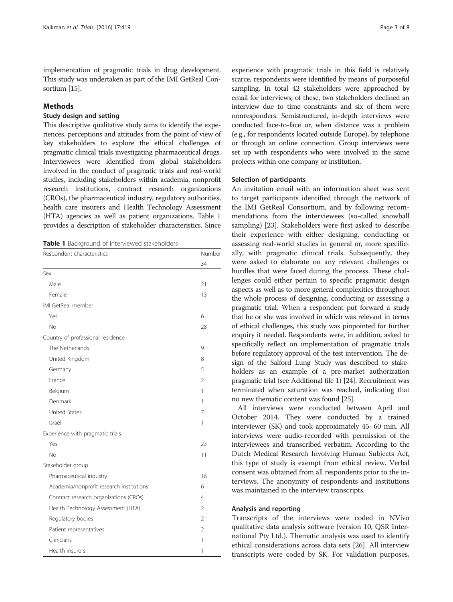implementation of pragmatic trials in drug development. This study was undertaken as part of the IMI GetReal Consortium [[15](#page-7-0)].

# Methods

# Study design and setting

This descriptive qualitative study aims to identify the experiences, perceptions and attitudes from the point of view of key stakeholders to explore the ethical challenges of pragmatic clinical trials investigating pharmaceutical drugs. Interviewees were identified from global stakeholders involved in the conduct of pragmatic trials and real-world studies, including stakeholders within academia, nonprofit research institutions, contract research organizations (CROs), the pharmaceutical industry, regulatory authorities, health care insurers and Health Technology Assessment (HTA) agencies as well as patient organizations. Table 1 provides a description of stakeholder characteristics. Since

| Table 1 Background of interviewed stakeholders |  |
|------------------------------------------------|--|
|------------------------------------------------|--|

| Respondent characteristics               | Number         |  |
|------------------------------------------|----------------|--|
|                                          | 34             |  |
| Sex                                      |                |  |
| Male                                     | 21             |  |
| Female                                   | 13             |  |
| IMI GetReal member                       |                |  |
| Yes                                      | 6              |  |
| No                                       | 28             |  |
| Country of professional residence        |                |  |
| The Netherlands                          | 9              |  |
| United Kingdom                           | 8              |  |
| Germany                                  | 5              |  |
| France                                   | $\overline{2}$ |  |
| Belgium                                  | 1              |  |
| Denmark                                  | 1              |  |
| <b>United States</b>                     | 7              |  |
| Israel                                   | 1              |  |
| Experience with pragmatic trials         |                |  |
| Yes                                      | 23             |  |
| No                                       | 11             |  |
| Stakeholder group                        |                |  |
| Pharmaceutical industry                  | 16             |  |
| Academia/nonprofit research institutions | 6              |  |
| Contract research organizations (CROs)   | 4              |  |
| Health Technology Assessment (HTA)       | $\overline{2}$ |  |
| Regulatory bodies                        | $\overline{2}$ |  |
| Patient representatives                  | 2              |  |
| Clinicians                               | 1              |  |
| Health insurers                          | 1              |  |

experience with pragmatic trials in this field is relatively scarce, respondents were identified by means of purposeful sampling. In total 42 stakeholders were approached by email for interviews; of these, two stakeholders declined an interview due to time constraints and six of them were nonresponders. Semistructured, in-depth interviews were conducted face-to-face or, when distance was a problem (e.g., for respondents located outside Europe), by telephone or through an online connection. Group interviews were set up with respondents who were involved in the same projects within one company or institution.

#### Selection of participants

An invitation email with an information sheet was sent to target participants identified through the network of the IMI GetReal Consortium, and by following recommendations from the interviewees (so-called snowball sampling) [\[23](#page-7-0)]. Stakeholders were first asked to describe their experience with either designing, conducting or assessing real-world studies in general or, more specifically, with pragmatic clinical trials. Subsequently, they were asked to elaborate on any relevant challenges or hurdles that were faced during the process. These challenges could either pertain to specific pragmatic design aspects as well as to more general complexities throughout the whole process of designing, conducting or assessing a pragmatic trial. When a respondent put forward a study that he or she was involved in which was relevant in terms of ethical challenges, this study was pinpointed for further enquiry if needed. Respondents were, in addition, asked to specifically reflect on implementation of pragmatic trials before regulatory approval of the test intervention. The design of the Salford Lung Study was described to stakeholders as an example of a pre-market authorization pragmatic trial (see Additional file [1](#page-6-0)) [[24](#page-7-0)]. Recruitment was terminated when saturation was reached, indicating that no new thematic content was found [\[25\]](#page-7-0).

All interviews were conducted between April and October 2014. They were conducted by a trained interviewer (SK) and took approximately 45–60 min. All interviews were audio-recorded with permission of the interviewees and transcribed verbatim. According to the Dutch Medical Research Involving Human Subjects Act, this type of study is exempt from ethical review. Verbal consent was obtained from all respondents prior to the interviews. The anonymity of respondents and institutions was maintained in the interview transcripts.

#### Analysis and reporting

Transcripts of the interviews were coded in NVivo qualitative data analysis software (version 10, QSR International Pty Ltd.). Thematic analysis was used to identify ethical considerations across data sets [\[26](#page-7-0)]. All interview transcripts were coded by SK. For validation purposes,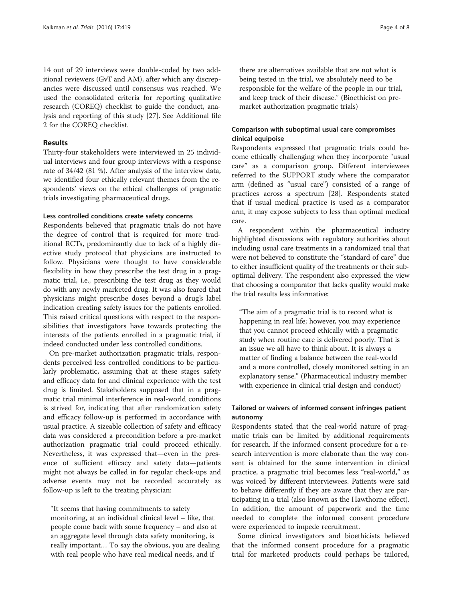14 out of 29 interviews were double-coded by two additional reviewers (GvT and AM), after which any discrepancies were discussed until consensus was reached. We used the consolidated criteria for reporting qualitative research (COREQ) checklist to guide the conduct, analysis and reporting of this study [[27](#page-7-0)]. See Additional file [2](#page-6-0) for the COREQ checklist.

# Results

Thirty-four stakeholders were interviewed in 25 individual interviews and four group interviews with a response rate of 34/42 (81 %). After analysis of the interview data, we identified four ethically relevant themes from the respondents' views on the ethical challenges of pragmatic trials investigating pharmaceutical drugs.

#### Less controlled conditions create safety concerns

Respondents believed that pragmatic trials do not have the degree of control that is required for more traditional RCTs, predominantly due to lack of a highly directive study protocol that physicians are instructed to follow. Physicians were thought to have considerable flexibility in how they prescribe the test drug in a pragmatic trial, i.e., prescribing the test drug as they would do with any newly marketed drug. It was also feared that physicians might prescribe doses beyond a drug's label indication creating safety issues for the patients enrolled. This raised critical questions with respect to the responsibilities that investigators have towards protecting the interests of the patients enrolled in a pragmatic trial, if indeed conducted under less controlled conditions.

On pre-market authorization pragmatic trials, respondents perceived less controlled conditions to be particularly problematic, assuming that at these stages safety and efficacy data for and clinical experience with the test drug is limited. Stakeholders supposed that in a pragmatic trial minimal interference in real-world conditions is strived for, indicating that after randomization safety and efficacy follow-up is performed in accordance with usual practice. A sizeable collection of safety and efficacy data was considered a precondition before a pre-market authorization pragmatic trial could proceed ethically. Nevertheless, it was expressed that—even in the presence of sufficient efficacy and safety data—patients might not always be called in for regular check-ups and adverse events may not be recorded accurately as follow-up is left to the treating physician:

"It seems that having commitments to safety monitoring, at an individual clinical level – like, that people come back with some frequency – and also at an aggregate level through data safety monitoring, is really important… To say the obvious, you are dealing with real people who have real medical needs, and if

there are alternatives available that are not what is being tested in the trial, we absolutely need to be responsible for the welfare of the people in our trial, and keep track of their disease." (Bioethicist on premarket authorization pragmatic trials)

# Comparison with suboptimal usual care compromises clinical equipoise

Respondents expressed that pragmatic trials could become ethically challenging when they incorporate "usual care" as a comparison group. Different interviewees referred to the SUPPORT study where the comparator arm (defined as "usual care") consisted of a range of practices across a spectrum [\[28](#page-7-0)]. Respondents stated that if usual medical practice is used as a comparator arm, it may expose subjects to less than optimal medical care.

A respondent within the pharmaceutical industry highlighted discussions with regulatory authorities about including usual care treatments in a randomized trial that were not believed to constitute the "standard of care" due to either insufficient quality of the treatments or their suboptimal delivery. The respondent also expressed the view that choosing a comparator that lacks quality would make the trial results less informative:

"The aim of a pragmatic trial is to record what is happening in real life; however, you may experience that you cannot proceed ethically with a pragmatic study when routine care is delivered poorly. That is an issue we all have to think about. It is always a matter of finding a balance between the real-world and a more controlled, closely monitored setting in an explanatory sense." (Pharmaceutical industry member with experience in clinical trial design and conduct)

# Tailored or waivers of informed consent infringes patient autonomy

Respondents stated that the real-world nature of pragmatic trials can be limited by additional requirements for research. If the informed consent procedure for a research intervention is more elaborate than the way consent is obtained for the same intervention in clinical practice, a pragmatic trial becomes less "real-world," as was voiced by different interviewees. Patients were said to behave differently if they are aware that they are participating in a trial (also known as the Hawthorne effect). In addition, the amount of paperwork and the time needed to complete the informed consent procedure were experienced to impede recruitment.

Some clinical investigators and bioethicists believed that the informed consent procedure for a pragmatic trial for marketed products could perhaps be tailored,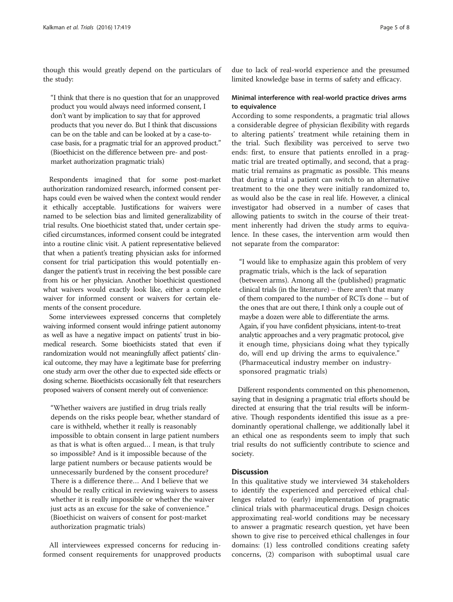though this would greatly depend on the particulars of the study:

"I think that there is no question that for an unapproved product you would always need informed consent, I don't want by implication to say that for approved products that you never do. But I think that discussions can be on the table and can be looked at by a case-tocase basis, for a pragmatic trial for an approved product." (Bioethicist on the difference between pre- and postmarket authorization pragmatic trials)

Respondents imagined that for some post-market authorization randomized research, informed consent perhaps could even be waived when the context would render it ethically acceptable. Justifications for waivers were named to be selection bias and limited generalizability of trial results. One bioethicist stated that, under certain specified circumstances, informed consent could be integrated into a routine clinic visit. A patient representative believed that when a patient's treating physician asks for informed consent for trial participation this would potentially endanger the patient's trust in receiving the best possible care from his or her physician. Another bioethicist questioned what waivers would exactly look like, either a complete waiver for informed consent or waivers for certain elements of the consent procedure.

Some interviewees expressed concerns that completely waiving informed consent would infringe patient autonomy as well as have a negative impact on patients' trust in biomedical research. Some bioethicists stated that even if randomization would not meaningfully affect patients' clinical outcome, they may have a legitimate base for preferring one study arm over the other due to expected side effects or dosing scheme. Bioethicists occasionally felt that researchers proposed waivers of consent merely out of convenience:

"Whether waivers are justified in drug trials really depends on the risks people bear, whether standard of care is withheld, whether it really is reasonably impossible to obtain consent in large patient numbers as that is what is often argued… I mean, is that truly so impossible? And is it impossible because of the large patient numbers or because patients would be unnecessarily burdened by the consent procedure? There is a difference there… And I believe that we should be really critical in reviewing waivers to assess whether it is really impossible or whether the waiver just acts as an excuse for the sake of convenience." (Bioethicist on waivers of consent for post-market authorization pragmatic trials)

All interviewees expressed concerns for reducing informed consent requirements for unapproved products

due to lack of real-world experience and the presumed limited knowledge base in terms of safety and efficacy.

# Minimal interference with real-world practice drives arms to equivalence

According to some respondents, a pragmatic trial allows a considerable degree of physician flexibility with regards to altering patients' treatment while retaining them in the trial. Such flexibility was perceived to serve two ends: first, to ensure that patients enrolled in a pragmatic trial are treated optimally, and second, that a pragmatic trial remains as pragmatic as possible. This means that during a trial a patient can switch to an alternative treatment to the one they were initially randomized to, as would also be the case in real life. However, a clinical investigator had observed in a number of cases that allowing patients to switch in the course of their treatment inherently had driven the study arms to equivalence. In these cases, the intervention arm would then not separate from the comparator:

"I would like to emphasize again this problem of very pragmatic trials, which is the lack of separation (between arms). Among all the (published) pragmatic clinical trials (in the literature) – there aren't that many of them compared to the number of RCTs done – but of the ones that are out there, I think only a couple out of maybe a dozen were able to differentiate the arms. Again, if you have confident physicians, intent-to-treat analytic approaches and a very pragmatic protocol, give it enough time, physicians doing what they typically do, will end up driving the arms to equivalence." (Pharmaceutical industry member on industrysponsored pragmatic trials)

Different respondents commented on this phenomenon, saying that in designing a pragmatic trial efforts should be directed at ensuring that the trial results will be informative. Though respondents identified this issue as a predominantly operational challenge, we additionally label it an ethical one as respondents seem to imply that such trial results do not sufficiently contribute to science and society.

#### **Discussion**

In this qualitative study we interviewed 34 stakeholders to identify the experienced and perceived ethical challenges related to (early) implementation of pragmatic clinical trials with pharmaceutical drugs. Design choices approximating real-world conditions may be necessary to answer a pragmatic research question, yet have been shown to give rise to perceived ethical challenges in four domains: (1) less controlled conditions creating safety concerns, (2) comparison with suboptimal usual care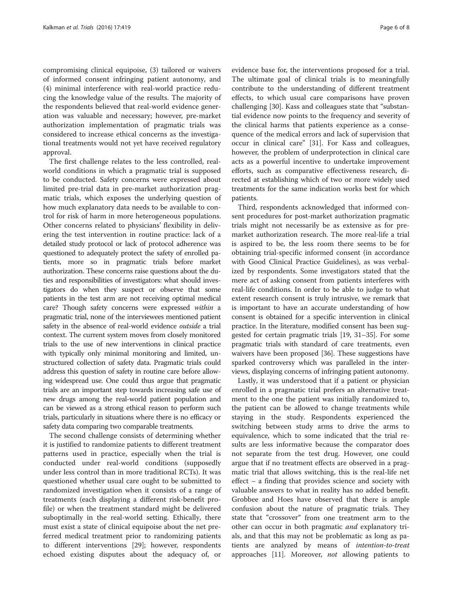compromising clinical equipoise, (3) tailored or waivers of informed consent infringing patient autonomy, and (4) minimal interference with real-world practice reducing the knowledge value of the results. The majority of the respondents believed that real-world evidence generation was valuable and necessary; however, pre-market authorization implementation of pragmatic trials was considered to increase ethical concerns as the investigational treatments would not yet have received regulatory approval.

The first challenge relates to the less controlled, realworld conditions in which a pragmatic trial is supposed to be conducted. Safety concerns were expressed about limited pre-trial data in pre-market authorization pragmatic trials, which exposes the underlying question of how much explanatory data needs to be available to control for risk of harm in more heterogeneous populations. Other concerns related to physicians' flexibility in delivering the test intervention in routine practice: lack of a detailed study protocol or lack of protocol adherence was questioned to adequately protect the safety of enrolled patients, more so in pragmatic trials before market authorization. These concerns raise questions about the duties and responsibilities of investigators: what should investigators do when they suspect or observe that some patients in the test arm are not receiving optimal medical care? Though safety concerns were expressed within a pragmatic trial, none of the interviewees mentioned patient safety in the absence of real-world evidence outside a trial context. The current system moves from closely monitored trials to the use of new interventions in clinical practice with typically only minimal monitoring and limited, unstructured collection of safety data. Pragmatic trials could address this question of safety in routine care before allowing widespread use. One could thus argue that pragmatic trials are an important step towards increasing safe use of new drugs among the real-world patient population and can be viewed as a strong ethical reason to perform such trials, particularly in situations where there is no efficacy or safety data comparing two comparable treatments.

The second challenge consists of determining whether it is justified to randomize patients to different treatment patterns used in practice, especially when the trial is conducted under real-world conditions (supposedly under less control than in more traditional RCTs). It was questioned whether usual care ought to be submitted to randomized investigation when it consists of a range of treatments (each displaying a different risk-benefit profile) or when the treatment standard might be delivered suboptimally in the real-world setting. Ethically, there must exist a state of clinical equipoise about the net preferred medical treatment prior to randomizing patients to different interventions [[29](#page-7-0)]; however, respondents echoed existing disputes about the adequacy of, or

evidence base for, the interventions proposed for a trial. The ultimate goal of clinical trials is to meaningfully contribute to the understanding of different treatment effects, to which usual care comparisons have proven challenging [\[30](#page-7-0)]. Kass and colleagues state that "substantial evidence now points to the frequency and severity of the clinical harms that patients experience as a consequence of the medical errors and lack of supervision that occur in clinical care" [[31\]](#page-7-0). For Kass and colleagues, however, the problem of underprotection in clinical care acts as a powerful incentive to undertake improvement efforts, such as comparative effectiveness research, directed at establishing which of two or more widely used treatments for the same indication works best for which patients.

Third, respondents acknowledged that informed consent procedures for post-market authorization pragmatic trials might not necessarily be as extensive as for premarket authorization research. The more real-life a trial is aspired to be, the less room there seems to be for obtaining trial-specific informed consent (in accordance with Good Clinical Practice Guidelines), as was verbalized by respondents. Some investigators stated that the mere act of asking consent from patients interferes with real-life conditions. In order to be able to judge to what extent research consent is truly intrusive, we remark that is important to have an accurate understanding of how consent is obtained for a specific intervention in clinical practice. In the literature, modified consent has been suggested for certain pragmatic trials [\[19, 31](#page-7-0)–[35\]](#page-7-0). For some pragmatic trials with standard of care treatments, even waivers have been proposed [\[36](#page-7-0)]. These suggestions have sparked controversy which was paralleled in the interviews, displaying concerns of infringing patient autonomy.

Lastly, it was understood that if a patient or physician enrolled in a pragmatic trial prefers an alternative treatment to the one the patient was initially randomized to, the patient can be allowed to change treatments while staying in the study. Respondents experienced the switching between study arms to drive the arms to equivalence, which to some indicated that the trial results are less informative because the comparator does not separate from the test drug. However, one could argue that if no treatment effects are observed in a pragmatic trial that allows switching, this is the real-life net effect – a finding that provides science and society with valuable answers to what in reality has no added benefit. Grobbee and Hoes have observed that there is ample confusion about the nature of pragmatic trials. They state that "crossover" from one treatment arm to the other can occur in both pragmatic *and* explanatory trials, and that this may not be problematic as long as patients are analyzed by means of intention-to-treat approaches [[11](#page-7-0)]. Moreover, not allowing patients to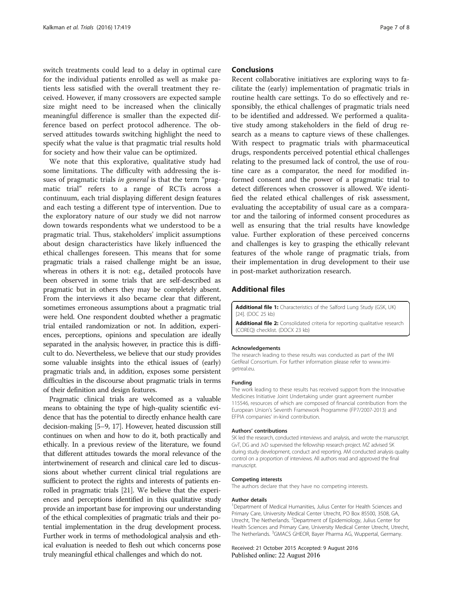<span id="page-6-0"></span>switch treatments could lead to a delay in optimal care for the individual patients enrolled as well as make patients less satisfied with the overall treatment they received. However, if many crossovers are expected sample size might need to be increased when the clinically meaningful difference is smaller than the expected difference based on perfect protocol adherence. The observed attitudes towards switching highlight the need to specify what the value is that pragmatic trial results hold for society and how their value can be optimized.

We note that this explorative, qualitative study had some limitations. The difficulty with addressing the issues of pragmatic trials *in general* is that the term "pragmatic trial" refers to a range of RCTs across a continuum, each trial displaying different design features and each testing a different type of intervention. Due to the exploratory nature of our study we did not narrow down towards respondents what we understood to be a pragmatic trial. Thus, stakeholders' implicit assumptions about design characteristics have likely influenced the ethical challenges foreseen. This means that for some pragmatic trials a raised challenge might be an issue, whereas in others it is not: e.g., detailed protocols have been observed in some trials that are self-described as pragmatic but in others they may be completely absent. From the interviews it also became clear that different, sometimes erroneous assumptions about a pragmatic trial were held. One respondent doubted whether a pragmatic trial entailed randomization or not. In addition, experiences, perceptions, opinions and speculation are ideally separated in the analysis; however, in practice this is difficult to do. Nevertheless, we believe that our study provides some valuable insights into the ethical issues of (early) pragmatic trials and, in addition, exposes some persistent difficulties in the discourse about pragmatic trials in terms of their definition and design features.

Pragmatic clinical trials are welcomed as a valuable means to obtaining the type of high-quality scientific evidence that has the potential to directly enhance health care decision-making [\[5](#page-7-0)–[9](#page-7-0), [17\]](#page-7-0). However, heated discussion still continues on when and how to do it, both practically and ethically. In a previous review of the literature, we found that different attitudes towards the moral relevance of the intertwinement of research and clinical care led to discussions about whether current clinical trial regulations are sufficient to protect the rights and interests of patients enrolled in pragmatic trials [\[21\]](#page-7-0). We believe that the experiences and perceptions identified in this qualitative study provide an important base for improving our understanding of the ethical complexities of pragmatic trials and their potential implementation in the drug development process. Further work in terms of methodological analysis and ethical evaluation is needed to flesh out which concerns pose truly meaningful ethical challenges and which do not.

## **Conclusions**

Recent collaborative initiatives are exploring ways to facilitate the (early) implementation of pragmatic trials in routine health care settings. To do so effectively and responsibly, the ethical challenges of pragmatic trials need to be identified and addressed. We performed a qualitative study among stakeholders in the field of drug research as a means to capture views of these challenges. With respect to pragmatic trials with pharmaceutical drugs, respondents perceived potential ethical challenges relating to the presumed lack of control, the use of routine care as a comparator, the need for modified informed consent and the power of a pragmatic trial to detect differences when crossover is allowed. We identified the related ethical challenges of risk assessment, evaluating the acceptability of usual care as a comparator and the tailoring of informed consent procedures as well as ensuring that the trial results have knowledge value. Further exploration of these perceived concerns and challenges is key to grasping the ethically relevant features of the whole range of pragmatic trials, from their implementation in drug development to their use in post-market authorization research.

# Additional files

[Additional file 1:](dx.doi.org/10.1186/s13063-016-1546-3) Characteristics of the Salford Lung Study (GSK, UK) [[24](#page-7-0)]. (DOC 25 kb)

[Additional file 2:](dx.doi.org/10.1186/s13063-016-1546-3) Consolidated criteria for reporting qualitative research (COREQ) checklist. (DOCX 23 kb)

#### Acknowledgements

The research leading to these results was conducted as part of the IMI GetReal Consortium. For further information please refer to [www.imi](http://www.imi-getreal.eu/)[getreal.eu](http://www.imi-getreal.eu/).

#### Funding

The work leading to these results has received support from the Innovative Medicines Initiative Joint Undertaking under grant agreement number 115546, resources of which are composed of financial contribution from the European Union's Seventh Framework Programme (FP7/2007-2013) and EFPIA companies' in-kind contribution.

#### Authors' contributions

SK led the research, conducted interviews and analysis, and wrote the manuscript. GvT, DG and JvD supervised the fellowship research project. MZ advised SK during study development, conduct and reporting. AM conducted analysis quality control on a proportion of interviews. All authors read and approved the final manuscript.

#### Competing interests

The authors declare that they have no competing interests.

#### Author details

<sup>1</sup>Department of Medical Humanities, Julius Center for Health Sciences and Primary Care, University Medical Center Utrecht, PO Box 85500, 3508, GA, Utrecht, The Netherlands. <sup>2</sup>Department of Epidemiology, Julius Center for Health Sciences and Primary Care, University Medical Center Utrecht, Utrecht, The Netherlands. <sup>3</sup>GMACS GHEOR, Bayer Pharma AG, Wuppertal, Germany.

Received: 21 October 2015 Accepted: 9 August 2016 Published online: 22 August 2016